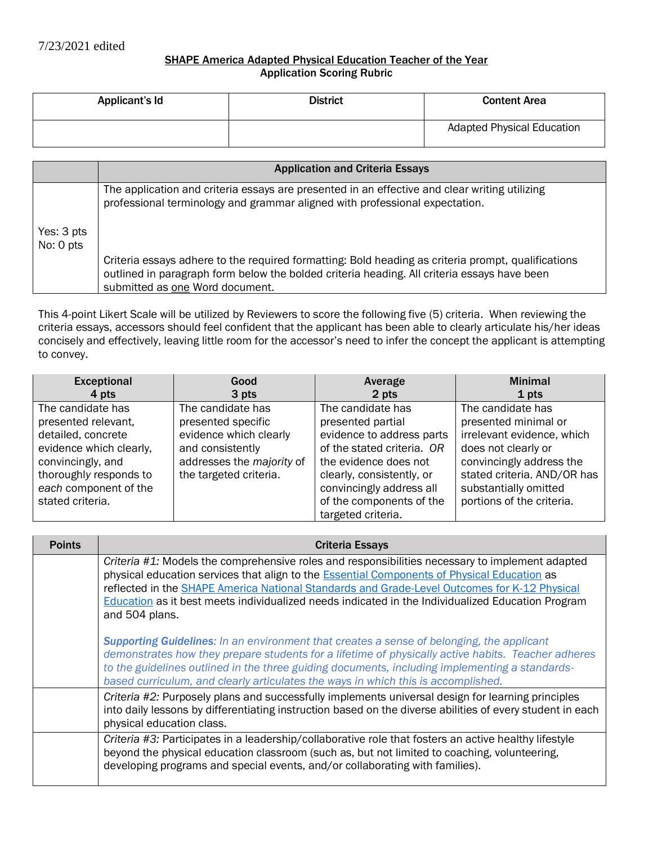## SHAPE America Adapted Physical Education Teacher of the Year Application Scoring Rubric

| Applicant's Id | <b>District</b> | <b>Content Area</b>               |
|----------------|-----------------|-----------------------------------|
|                |                 | <b>Adapted Physical Education</b> |

|            | <b>Application and Criteria Essays</b>                                                                                                                                                                                               |
|------------|--------------------------------------------------------------------------------------------------------------------------------------------------------------------------------------------------------------------------------------|
|            |                                                                                                                                                                                                                                      |
|            | The application and criteria essays are presented in an effective and clear writing utilizing<br>professional terminology and grammar aligned with professional expectation.                                                         |
|            |                                                                                                                                                                                                                                      |
| Yes: 3 pts |                                                                                                                                                                                                                                      |
| No: 0 pts  |                                                                                                                                                                                                                                      |
|            | Criteria essays adhere to the required formatting: Bold heading as criteria prompt, qualifications<br>outlined in paragraph form below the bolded criteria heading. All criteria essays have been<br>submitted as one Word document. |

This 4-point Likert Scale will be utilized by Reviewers to score the following five (5) criteria. When reviewing the criteria essays, accessors should feel confident that the applicant has been able to clearly articulate his/her ideas concisely and effectively, leaving little room for the accessor's need to infer the concept the applicant is attempting to convey.

| <b>Exceptional</b>      | Good                      | Average                    | <b>Minimal</b>              |
|-------------------------|---------------------------|----------------------------|-----------------------------|
| 4 pts                   | 3 pts                     | 2 pts                      | 1 pts                       |
| The candidate has       | The candidate has         | The candidate has          | The candidate has           |
| presented relevant,     | presented specific        | presented partial          | presented minimal or        |
| detailed, concrete      | evidence which clearly    | evidence to address parts  | irrelevant evidence, which  |
| evidence which clearly, | and consistently          | of the stated criteria. OR | does not clearly or         |
| convincingly, and       | addresses the majority of | the evidence does not      | convincingly address the    |
| thoroughly responds to  | the targeted criteria.    | clearly, consistently, or  | stated criteria. AND/OR has |
| each component of the   |                           | convincingly address all   | substantially omitted       |
| stated criteria.        |                           | of the components of the   | portions of the criteria.   |
|                         |                           | targeted criteria.         |                             |

| <b>Points</b> | <b>Criteria Essays</b>                                                                                                                                                                                                                                                                                                                                                                                                   |
|---------------|--------------------------------------------------------------------------------------------------------------------------------------------------------------------------------------------------------------------------------------------------------------------------------------------------------------------------------------------------------------------------------------------------------------------------|
|               | Criteria $#1$ : Models the comprehensive roles and responsibilities necessary to implement adapted<br>physical education services that align to the Essential Components of Physical Education as<br>reflected in the SHAPE America National Standards and Grade-Level Outcomes for K-12 Physical<br>Education as it best meets individualized needs indicated in the Individualized Education Program<br>and 504 plans. |
|               | <b>Supporting Guidelines:</b> In an environment that creates a sense of belonging, the applicant<br>demonstrates how they prepare students for a lifetime of physically active habits. Teacher adheres<br>to the guidelines outlined in the three guiding documents, including implementing a standards-<br>based curriculum, and clearly articulates the ways in which this is accomplished.                            |
|               | Criteria #2: Purposely plans and successfully implements universal design for learning principles<br>into daily lessons by differentiating instruction based on the diverse abilities of every student in each<br>physical education class.                                                                                                                                                                              |
|               | Criteria #3: Participates in a leadership/collaborative role that fosters an active healthy lifestyle<br>beyond the physical education classroom (such as, but not limited to coaching, volunteering,<br>developing programs and special events, and/or collaborating with families).                                                                                                                                    |